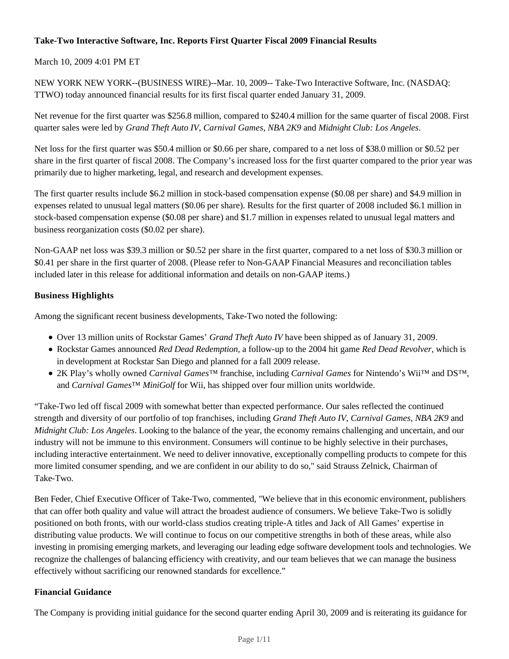#### **Take-Two Interactive Software, Inc. Reports First Quarter Fiscal 2009 Financial Results**

### March 10, 2009 4:01 PM ET

NEW YORK NEW YORK--(BUSINESS WIRE)--Mar. 10, 2009-- Take-Two Interactive Software, Inc. (NASDAQ: TTWO) today announced financial results for its first fiscal quarter ended January 31, 2009.

Net revenue for the first quarter was \$256.8 million, compared to \$240.4 million for the same quarter of fiscal 2008. First quarter sales were led by *Grand Theft Auto IV*, *Carnival Games*, *NBA 2K9* and *Midnight Club: Los Angeles*.

Net loss for the first quarter was \$50.4 million or \$0.66 per share, compared to a net loss of \$38.0 million or \$0.52 per share in the first quarter of fiscal 2008. The Company's increased loss for the first quarter compared to the prior year was primarily due to higher marketing, legal, and research and development expenses.

The first quarter results include \$6.2 million in stock-based compensation expense (\$0.08 per share) and \$4.9 million in expenses related to unusual legal matters (\$0.06 per share). Results for the first quarter of 2008 included \$6.1 million in stock-based compensation expense (\$0.08 per share) and \$1.7 million in expenses related to unusual legal matters and business reorganization costs (\$0.02 per share).

Non-GAAP net loss was \$39.3 million or \$0.52 per share in the first quarter, compared to a net loss of \$30.3 million or \$0.41 per share in the first quarter of 2008. (Please refer to Non-GAAP Financial Measures and reconciliation tables included later in this release for additional information and details on non-GAAP items.)

### **Business Highlights**

Among the significant recent business developments, Take-Two noted the following:

- Over 13 million units of Rockstar Games' *Grand Theft Auto IV* have been shipped as of January 31, 2009.
- Rockstar Games announced *Red Dead Redemption,* a follow-up to the 2004 hit game *Red Dead Revolver*, which is in development at Rockstar San Diego and planned for a fall 2009 release.
- 2K Play's wholly owned *Carnival Games™* franchise, including *Carnival Games* for Nintendo's Wii™ and DS™, and *Carnival Games*™ *MiniGolf* for Wii, has shipped over four million units worldwide.

"Take-Two led off fiscal 2009 with somewhat better than expected performance. Our sales reflected the continued strength and diversity of our portfolio of top franchises, including *Grand Theft Auto IV*, *Carnival Games*, *NBA 2K9* and *Midnight Club: Los Angeles*. Looking to the balance of the year, the economy remains challenging and uncertain, and our industry will not be immune to this environment. Consumers will continue to be highly selective in their purchases, including interactive entertainment. We need to deliver innovative, exceptionally compelling products to compete for this more limited consumer spending, and we are confident in our ability to do so," said Strauss Zelnick, Chairman of Take-Two.

Ben Feder, Chief Executive Officer of Take-Two, commented, "We believe that in this economic environment, publishers that can offer both quality and value will attract the broadest audience of consumers. We believe Take-Two is solidly positioned on both fronts, with our world-class studios creating triple-A titles and Jack of All Games' expertise in distributing value products. We will continue to focus on our competitive strengths in both of these areas, while also investing in promising emerging markets, and leveraging our leading edge software development tools and technologies. We recognize the challenges of balancing efficiency with creativity, and our team believes that we can manage the business effectively without sacrificing our renowned standards for excellence."

### **Financial Guidance**

The Company is providing initial guidance for the second quarter ending April 30, 2009 and is reiterating its guidance for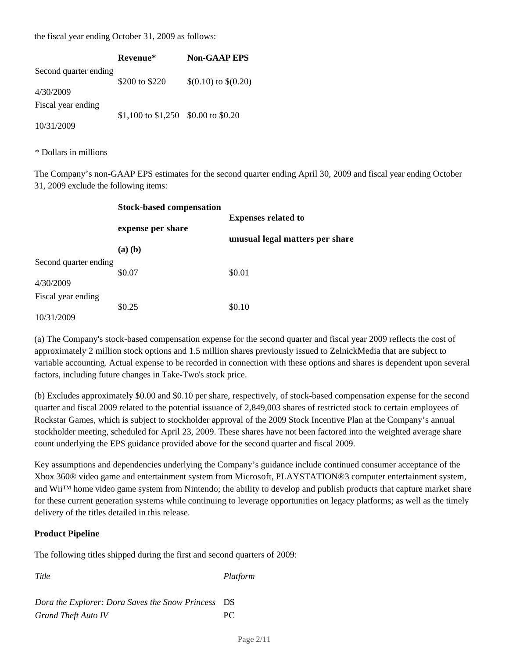the fiscal year ending October 31, 2009 as follows:

|                       | Revenue*                            | <b>Non-GAAP EPS</b>    |
|-----------------------|-------------------------------------|------------------------|
| Second quarter ending | \$200 to \$220                      | $$(0.10)$ to $$(0.20)$ |
| 4/30/2009             |                                     |                        |
| Fiscal year ending    | \$1,100 to \$1,250 \$0.00 to \$0.20 |                        |
| 10/31/2009            |                                     |                        |

\* Dollars in millions

The Company's non-GAAP EPS estimates for the second quarter ending April 30, 2009 and fiscal year ending October 31, 2009 exclude the following items:

|                                    | <b>Stock-based compensation</b> |                                                               |
|------------------------------------|---------------------------------|---------------------------------------------------------------|
|                                    | expense per share               | <b>Expenses related to</b><br>unusual legal matters per share |
|                                    | $(a)$ $(b)$                     |                                                               |
| Second quarter ending<br>4/30/2009 | \$0.07                          | \$0.01                                                        |
| Fiscal year ending<br>10/31/2009   | \$0.25                          | \$0.10                                                        |

(a) The Company's stock-based compensation expense for the second quarter and fiscal year 2009 reflects the cost of approximately 2 million stock options and 1.5 million shares previously issued to ZelnickMedia that are subject to variable accounting. Actual expense to be recorded in connection with these options and shares is dependent upon several factors, including future changes in Take-Two's stock price.

(b) Excludes approximately \$0.00 and \$0.10 per share, respectively, of stock-based compensation expense for the second quarter and fiscal 2009 related to the potential issuance of 2,849,003 shares of restricted stock to certain employees of Rockstar Games, which is subject to stockholder approval of the 2009 Stock Incentive Plan at the Company's annual stockholder meeting, scheduled for April 23, 2009. These shares have not been factored into the weighted average share count underlying the EPS guidance provided above for the second quarter and fiscal 2009.

Key assumptions and dependencies underlying the Company's guidance include continued consumer acceptance of the Xbox 360® video game and entertainment system from Microsoft, PLAYSTATION®3 computer entertainment system, and Wii™ home video game system from Nintendo; the ability to develop and publish products that capture market share for these current generation systems while continuing to leverage opportunities on legacy platforms; as well as the timely delivery of the titles detailed in this release.

### **Product Pipeline**

The following titles shipped during the first and second quarters of 2009:

| Title                                              | Platform        |
|----------------------------------------------------|-----------------|
| Dora the Explorer: Dora Saves the Snow Princess DS |                 |
| <b>Grand Theft Auto IV</b>                         | PC <sup>-</sup> |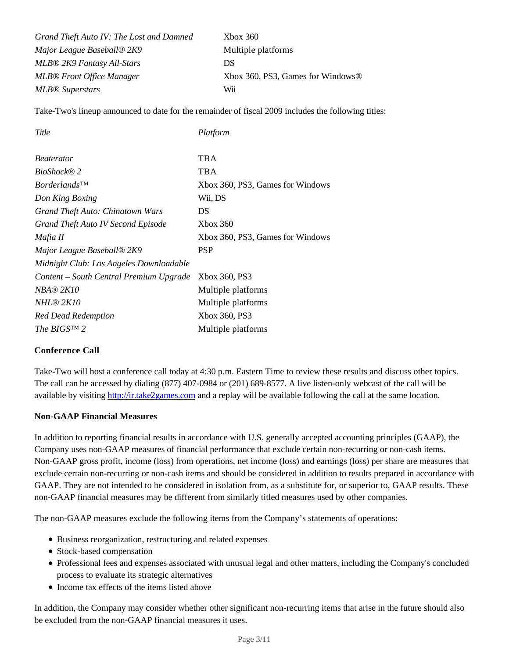| Grand Theft Auto IV: The Lost and Damned    | $X$ box 360                       |
|---------------------------------------------|-----------------------------------|
| Major League Baseball <sup>®</sup> 2K9      | Multiple platforms                |
| <b>MLB®</b> 2K9 Fantasy All-Stars           | DS                                |
| <b>MLB<sup>®</sup></b> Front Office Manager | Xbox 360, PS3, Games for Windows® |
| <b>MLB<sup>®</sup></b> Superstars           | Wii                               |

Take-Two's lineup announced to date for the remainder of fiscal 2009 includes the following titles:

| Title                                   | Platform                         |
|-----------------------------------------|----------------------------------|
|                                         |                                  |
| <i>Beaterator</i>                       | <b>TBA</b>                       |
| <i>BioShock®</i> 2                      | <b>TBA</b>                       |
| Borderlands <sup>TM</sup>               | Xbox 360, PS3, Games for Windows |
| Don King Boxing                         | Wii, DS                          |
| Grand Theft Auto: Chinatown Wars        | DS                               |
| Grand Theft Auto IV Second Episode      | $X$ box 360                      |
| Mafia II                                | Xbox 360, PS3, Games for Windows |
| Major League Baseball <sup>®</sup> 2K9  | <b>PSP</b>                       |
| Midnight Club: Los Angeles Downloadable |                                  |
| Content – South Central Premium Upgrade | Xbox 360, PS3                    |
| NBA® 2K10                               | Multiple platforms               |
| NHL® 2K10                               | Multiple platforms               |
| <b>Red Dead Redemption</b>              | Xbox 360, PS3                    |
| The BIGSTM $2$                          | Multiple platforms               |

### **Conference Call**

Take-Two will host a conference call today at 4:30 p.m. Eastern Time to review these results and discuss other topics. The call can be accessed by dialing (877) 407-0984 or (201) 689-8577. A live listen-only webcast of the call will be available by visiting http://ir.take2games.com and a replay will be available following the call at the same location.

### **Non-GAAP Financial Measures**

In addition to reporting financial results in accordance with U.S. generally accepted accounting principles (GAAP), the Company uses non-GAAP measures of financial performance that exclude certain non-recurring or non-cash items. Non-GAAP gross profit, income (loss) from operations, net income (loss) and earnings (loss) per share are measures that exclude certain non-recurring or non-cash items and should be considered in addition to results prepared in accordance with GAAP. They are not intended to be considered in isolation from, as a substitute for, or superior to, GAAP results. These non-GAAP financial measures may be different from similarly titled measures used by other companies.

The non-GAAP measures exclude the following items from the Company's statements of operations:

- Business reorganization, restructuring and related expenses
- Stock-based compensation
- Professional fees and expenses associated with unusual legal and other matters, including the Company's concluded process to evaluate its strategic alternatives
- Income tax effects of the items listed above

In addition, the Company may consider whether other significant non-recurring items that arise in the future should also be excluded from the non-GAAP financial measures it uses.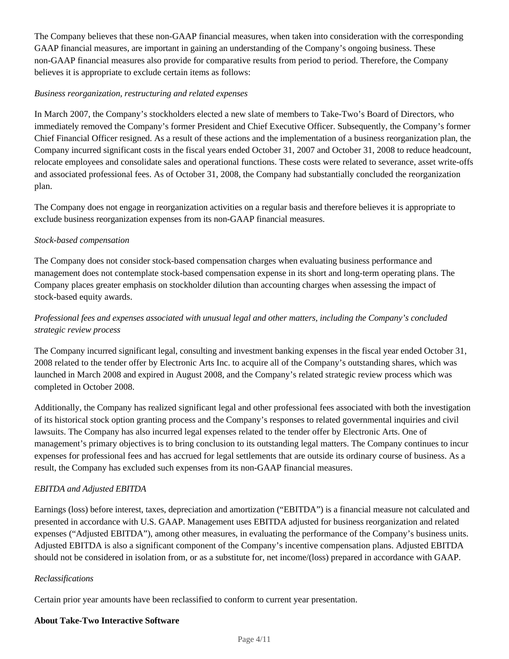The Company believes that these non-GAAP financial measures, when taken into consideration with the corresponding GAAP financial measures, are important in gaining an understanding of the Company's ongoing business. These non-GAAP financial measures also provide for comparative results from period to period. Therefore, the Company believes it is appropriate to exclude certain items as follows:

#### *Business reorganization, restructuring and related expenses*

In March 2007, the Company's stockholders elected a new slate of members to Take-Two's Board of Directors, who immediately removed the Company's former President and Chief Executive Officer. Subsequently, the Company's former Chief Financial Officer resigned. As a result of these actions and the implementation of a business reorganization plan, the Company incurred significant costs in the fiscal years ended October 31, 2007 and October 31, 2008 to reduce headcount, relocate employees and consolidate sales and operational functions. These costs were related to severance, asset write-offs and associated professional fees. As of October 31, 2008, the Company had substantially concluded the reorganization plan.

The Company does not engage in reorganization activities on a regular basis and therefore believes it is appropriate to exclude business reorganization expenses from its non-GAAP financial measures.

#### *Stock-based compensation*

The Company does not consider stock-based compensation charges when evaluating business performance and management does not contemplate stock-based compensation expense in its short and long-term operating plans. The Company places greater emphasis on stockholder dilution than accounting charges when assessing the impact of stock-based equity awards.

### *Professional fees and expenses associated with unusual legal and other matters, including the Company's concluded strategic review process*

The Company incurred significant legal, consulting and investment banking expenses in the fiscal year ended October 31, 2008 related to the tender offer by Electronic Arts Inc. to acquire all of the Company's outstanding shares, which was launched in March 2008 and expired in August 2008, and the Company's related strategic review process which was completed in October 2008.

Additionally, the Company has realized significant legal and other professional fees associated with both the investigation of its historical stock option granting process and the Company's responses to related governmental inquiries and civil lawsuits. The Company has also incurred legal expenses related to the tender offer by Electronic Arts. One of management's primary objectives is to bring conclusion to its outstanding legal matters. The Company continues to incur expenses for professional fees and has accrued for legal settlements that are outside its ordinary course of business. As a result, the Company has excluded such expenses from its non-GAAP financial measures.

#### *EBITDA and Adjusted EBITDA*

Earnings (loss) before interest, taxes, depreciation and amortization ("EBITDA") is a financial measure not calculated and presented in accordance with U.S. GAAP. Management uses EBITDA adjusted for business reorganization and related expenses ("Adjusted EBITDA"), among other measures, in evaluating the performance of the Company's business units. Adjusted EBITDA is also a significant component of the Company's incentive compensation plans. Adjusted EBITDA should not be considered in isolation from, or as a substitute for, net income/(loss) prepared in accordance with GAAP.

#### *Reclassifications*

Certain prior year amounts have been reclassified to conform to current year presentation.

#### **About Take-Two Interactive Software**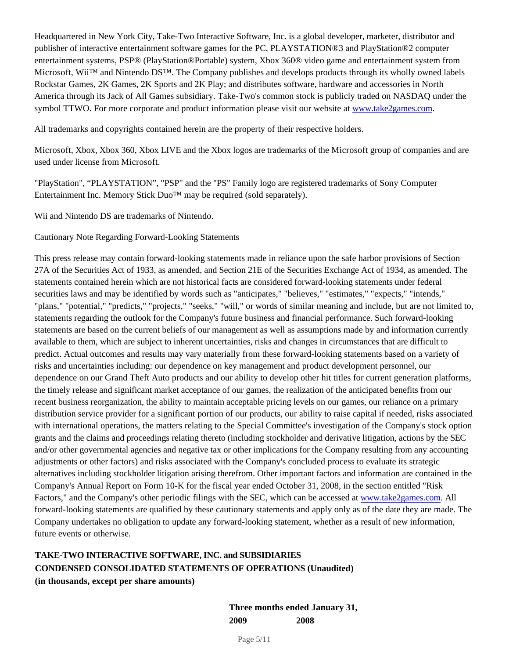Headquartered in New York City, Take-Two Interactive Software, Inc. is a global developer, marketer, distributor and publisher of interactive entertainment software games for the PC, PLAYSTATION®3 and PlayStation®2 computer entertainment systems, PSP® (PlayStation®Portable) system, Xbox 360® video game and entertainment system from Microsoft, Wii™ and Nintendo DS™. The Company publishes and develops products through its wholly owned labels Rockstar Games, 2K Games, 2K Sports and 2K Play; and distributes software, hardware and accessories in North America through its Jack of All Games subsidiary. Take-Two's common stock is publicly traded on NASDAQ under the symbol TTWO. For more corporate and product information please visit our website at www.take2games.com.

All trademarks and copyrights contained herein are the property of their respective holders.

Microsoft, Xbox, Xbox 360, Xbox LIVE and the Xbox logos are trademarks of the Microsoft group of companies and are used under license from Microsoft.

"PlayStation", "PLAYSTATION", "PSP" and the "PS" Family logo are registered trademarks of Sony Computer Entertainment Inc. Memory Stick Duo™ may be required (sold separately).

Wii and Nintendo DS are trademarks of Nintendo.

Cautionary Note Regarding Forward-Looking Statements

This press release may contain forward-looking statements made in reliance upon the safe harbor provisions of Section 27A of the Securities Act of 1933, as amended, and Section 21E of the Securities Exchange Act of 1934, as amended. The statements contained herein which are not historical facts are considered forward-looking statements under federal securities laws and may be identified by words such as "anticipates," "believes," "estimates," "expects," "intends," "plans," "potential," "predicts," "projects," "seeks," "will," or words of similar meaning and include, but are not limited to, statements regarding the outlook for the Company's future business and financial performance. Such forward-looking statements are based on the current beliefs of our management as well as assumptions made by and information currently available to them, which are subject to inherent uncertainties, risks and changes in circumstances that are difficult to predict. Actual outcomes and results may vary materially from these forward-looking statements based on a variety of risks and uncertainties including: our dependence on key management and product development personnel, our dependence on our Grand Theft Auto products and our ability to develop other hit titles for current generation platforms, the timely release and significant market acceptance of our games, the realization of the anticipated benefits from our recent business reorganization, the ability to maintain acceptable pricing levels on our games, our reliance on a primary distribution service provider for a significant portion of our products, our ability to raise capital if needed, risks associated with international operations, the matters relating to the Special Committee's investigation of the Company's stock option grants and the claims and proceedings relating thereto (including stockholder and derivative litigation, actions by the SEC and/or other governmental agencies and negative tax or other implications for the Company resulting from any accounting adjustments or other factors) and risks associated with the Company's concluded process to evaluate its strategic alternatives including stockholder litigation arising therefrom. Other important factors and information are contained in the Company's Annual Report on Form 10-K for the fiscal year ended October 31, 2008, in the section entitled "Risk Factors," and the Company's other periodic filings with the SEC, which can be accessed at www.take2games.com. All forward-looking statements are qualified by these cautionary statements and apply only as of the date they are made. The Company undertakes no obligation to update any forward-looking statement, whether as a result of new information, future events or otherwise.

# **TAKE-TWO INTERACTIVE SOFTWARE, INC. and SUBSIDIARIES CONDENSED CONSOLIDATED STATEMENTS OF OPERATIONS (Unaudited) (in thousands, except per share amounts)**

**Three months ended January 31, 2009 2008**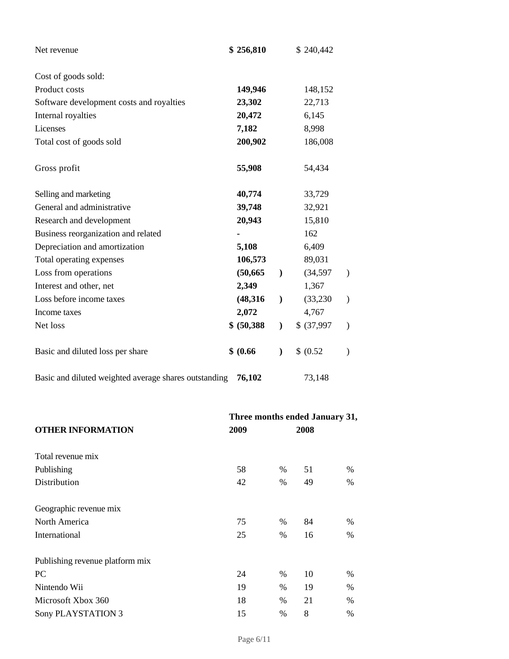| Net revenue                                           | \$256,810   |               | \$240,442    |               |
|-------------------------------------------------------|-------------|---------------|--------------|---------------|
| Cost of goods sold:                                   |             |               |              |               |
| Product costs                                         | 149,946     |               | 148,152      |               |
| Software development costs and royalties              | 23,302      |               | 22,713       |               |
| Internal royalties                                    | 20,472      |               | 6,145        |               |
| Licenses                                              | 7,182       |               | 8,998        |               |
| Total cost of goods sold                              | 200,902     |               | 186,008      |               |
| Gross profit                                          | 55,908      |               | 54,434       |               |
| Selling and marketing                                 | 40,774      |               | 33,729       |               |
| General and administrative                            | 39,748      |               | 32,921       |               |
| Research and development                              | 20,943      |               | 15,810       |               |
| Business reorganization and related                   |             |               | 162          |               |
| Depreciation and amortization                         | 5,108       |               | 6,409        |               |
| Total operating expenses                              | 106,573     |               | 89,031       |               |
| Loss from operations                                  | (50, 665)   | $\mathcal{E}$ | (34, 597)    | )             |
| Interest and other, net                               | 2,349       |               | 1,367        |               |
| Loss before income taxes                              | (48, 316)   | $\mathcal{E}$ | (33,230)     | $\mathcal{E}$ |
| Income taxes                                          | 2,072       |               | 4,767        |               |
| Net loss                                              | \$ (50,388) | $\mathcal{E}$ | $$$ (37,997) | $\mathcal{E}$ |
| Basic and diluted loss per share                      | \$ (0.66)   | $\mathcal{E}$ | \$ (0.52)    | $\mathcal{Y}$ |
| Basic and diluted weighted average shares outstanding | 76,102      |               | 73,148       |               |

|                                 | Three months ended January 31, |               |      |      |  |
|---------------------------------|--------------------------------|---------------|------|------|--|
| <b>OTHER INFORMATION</b>        | 2009                           |               | 2008 |      |  |
| Total revenue mix               |                                |               |      |      |  |
|                                 |                                |               |      |      |  |
| Publishing                      | 58                             | %             | 51   | $\%$ |  |
| Distribution                    | 42                             | $\%$          | 49   | %    |  |
| Geographic revenue mix          |                                |               |      |      |  |
| North America                   | 75                             | $\%$          | 84   | $\%$ |  |
| International                   | 25                             | $\%$          | 16   | $\%$ |  |
| Publishing revenue platform mix |                                |               |      |      |  |
| PC                              | 24                             | $\frac{0}{0}$ | 10   | $\%$ |  |
| Nintendo Wii                    | 19                             | $\%$          | 19   | %    |  |
| Microsoft Xbox 360              | 18                             | $\%$          | 21   | $\%$ |  |
| Sony PLAYSTATION 3              | 15                             | $\frac{0}{0}$ | 8    | $\%$ |  |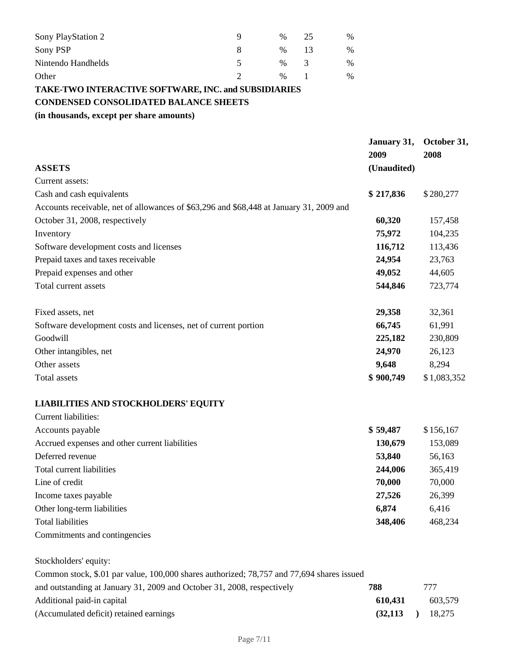| Sony PlayStation 2 | %    | 25 | $\%$ |
|--------------------|------|----|------|
| Sony PSP           | %    |    | $\%$ |
| Nintendo Handhelds | $\%$ | ≺  | $\%$ |
| Other              | $\%$ |    | $\%$ |

# **TAKE-TWO INTERACTIVE SOFTWARE, INC. and SUBSIDIARIES**

### **CONDENSED CONSOLIDATED BALANCE SHEETS**

**(in thousands, except per share amounts)**

| <b>ASSETS</b>                                                                             | January 31,<br>2009<br>(Unaudited) | October 31,<br>2008 |
|-------------------------------------------------------------------------------------------|------------------------------------|---------------------|
| Current assets:                                                                           |                                    |                     |
| Cash and cash equivalents                                                                 | \$217,836                          | \$280,277           |
| Accounts receivable, net of allowances of \$63,296 and \$68,448 at January 31, 2009 and   |                                    |                     |
| October 31, 2008, respectively                                                            | 60,320                             | 157,458             |
| Inventory                                                                                 | 75,972                             | 104,235             |
| Software development costs and licenses                                                   | 116,712                            | 113,436             |
| Prepaid taxes and taxes receivable                                                        | 24,954                             | 23,763              |
| Prepaid expenses and other                                                                | 49,052                             | 44,605              |
| Total current assets                                                                      | 544,846                            | 723,774             |
| Fixed assets, net                                                                         | 29,358                             | 32,361              |
| Software development costs and licenses, net of current portion                           | 66,745                             | 61,991              |
| Goodwill                                                                                  | 225,182                            | 230,809             |
| Other intangibles, net                                                                    | 24,970                             | 26,123              |
| Other assets                                                                              | 9,648                              | 8,294               |
| Total assets                                                                              | \$900,749                          | \$1,083,352         |
| <b>LIABILITIES AND STOCKHOLDERS' EQUITY</b>                                               |                                    |                     |
| Current liabilities:                                                                      |                                    |                     |
| Accounts payable                                                                          | \$59,487                           | \$156,167           |
| Accrued expenses and other current liabilities                                            | 130,679                            | 153,089             |
| Deferred revenue                                                                          | 53,840                             | 56,163              |
| Total current liabilities                                                                 | 244,006                            | 365,419             |
| Line of credit                                                                            | 70,000                             | 70,000              |
| Income taxes payable                                                                      | 27,526                             | 26,399              |
| Other long-term liabilities                                                               | 6,874                              | 6,416               |
| <b>Total liabilities</b>                                                                  | 348,406                            | 468,234             |
| Commitments and contingencies                                                             |                                    |                     |
| Stockholders' equity:                                                                     |                                    |                     |
| Common stock, \$.01 par value, 100,000 shares authorized; 78,757 and 77,694 shares issued |                                    |                     |
| and outstanding at January 31, 2009 and October 31, 2008, respectively                    | 788                                | 777                 |
| Additional paid-in capital                                                                | 610 431                            | 603 579             |

| and outstanding at summary $51,2002$ and October $51,2000,100$ pectricity | .        |         |
|---------------------------------------------------------------------------|----------|---------|
| Additional paid-in capital                                                | 610.431  | 603,579 |
| (Accumulated deficit) retained earnings                                   | (32.113) | 18,275  |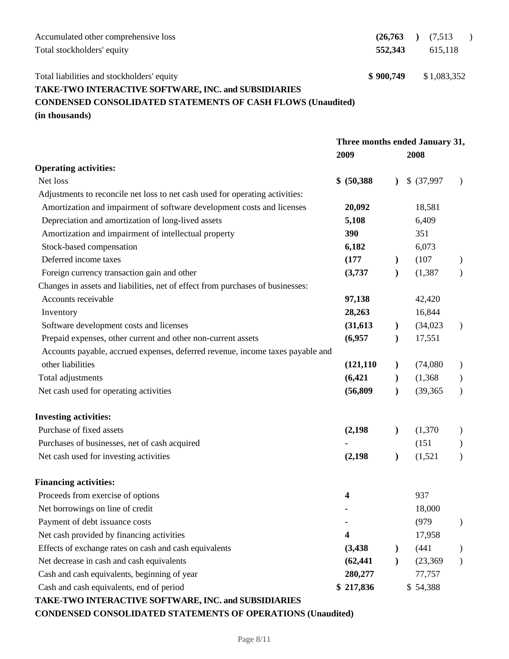Accumulated other comprehensive loss **(26,763** ) (7,513 ) Total stockholders' equity **552,343** 615,118 Total liabilities and stockholders' equity **\$** 900,749 \$ 1,083,352

# **TAKE-TWO INTERACTIVE SOFTWARE, INC. and SUBSIDIARIES**

### **CONDENSED CONSOLIDATED STATEMENTS OF CASH FLOWS (Unaudited) (in thousands)**

|                                                                                | Three months ended January 31, |             |                                                                                                                                                                                                                                                                                                                                                                                                                                                            |             |               |
|--------------------------------------------------------------------------------|--------------------------------|-------------|------------------------------------------------------------------------------------------------------------------------------------------------------------------------------------------------------------------------------------------------------------------------------------------------------------------------------------------------------------------------------------------------------------------------------------------------------------|-------------|---------------|
|                                                                                |                                | 2009        |                                                                                                                                                                                                                                                                                                                                                                                                                                                            | 2008        |               |
| <b>Operating activities:</b>                                                   |                                |             |                                                                                                                                                                                                                                                                                                                                                                                                                                                            |             |               |
| Net loss                                                                       |                                | \$ (50,388) | $\mathcal{L}$                                                                                                                                                                                                                                                                                                                                                                                                                                              | \$ (37,997) | $\lambda$     |
| Adjustments to reconcile net loss to net cash used for operating activities:   |                                |             |                                                                                                                                                                                                                                                                                                                                                                                                                                                            |             |               |
| Amortization and impairment of software development costs and licenses         |                                | 20,092      |                                                                                                                                                                                                                                                                                                                                                                                                                                                            | 18,581      |               |
| Depreciation and amortization of long-lived assets                             |                                | 5,108       |                                                                                                                                                                                                                                                                                                                                                                                                                                                            | 6,409       |               |
| Amortization and impairment of intellectual property                           |                                | 390         |                                                                                                                                                                                                                                                                                                                                                                                                                                                            | 351         |               |
| Stock-based compensation                                                       |                                | 6,182       |                                                                                                                                                                                                                                                                                                                                                                                                                                                            | 6,073       |               |
| Deferred income taxes                                                          |                                | (177)       | $\mathbf{)}$                                                                                                                                                                                                                                                                                                                                                                                                                                               | (107)       |               |
| Foreign currency transaction gain and other                                    |                                | (3,737)     |                                                                                                                                                                                                                                                                                                                                                                                                                                                            | (1, 387)    |               |
| Changes in assets and liabilities, net of effect from purchases of businesses: |                                |             |                                                                                                                                                                                                                                                                                                                                                                                                                                                            |             |               |
| Accounts receivable                                                            |                                | 97,138      |                                                                                                                                                                                                                                                                                                                                                                                                                                                            | 42,420      |               |
| Inventory                                                                      |                                | 28,263      |                                                                                                                                                                                                                                                                                                                                                                                                                                                            | 16,844      |               |
| Software development costs and licenses                                        |                                | (31, 613)   | $\mathcal{L}$                                                                                                                                                                                                                                                                                                                                                                                                                                              | (34,023)    | $\mathcal{E}$ |
| Prepaid expenses, other current and other non-current assets                   |                                | (6,957)     | $\lambda$                                                                                                                                                                                                                                                                                                                                                                                                                                                  | 17,551      |               |
| Accounts payable, accrued expenses, deferred revenue, income taxes payable and |                                |             |                                                                                                                                                                                                                                                                                                                                                                                                                                                            |             |               |
| other liabilities                                                              |                                | (121, 110)  | $\mathbf{E} = \mathbf{E} \cdot \mathbf{E} = \mathbf{E} \cdot \mathbf{E} = \mathbf{E} \cdot \mathbf{E} = \mathbf{E} \cdot \mathbf{E} = \mathbf{E} \cdot \mathbf{E} = \mathbf{E} \cdot \mathbf{E} = \mathbf{E} \cdot \mathbf{E} = \mathbf{E} \cdot \mathbf{E} = \mathbf{E} \cdot \mathbf{E} = \mathbf{E} \cdot \mathbf{E} = \mathbf{E} \cdot \mathbf{E} = \mathbf{E} \cdot \mathbf{E} = \mathbf{E} \cdot \mathbf{E} = \mathbf{E} \cdot \mathbf{E} = \mathbf$ | (74,080)    | $\mathcal{F}$ |
| Total adjustments                                                              |                                | (6, 421)    | $\mathcal{F}^{\mathcal{E}}_{\mathcal{E}}\left( \mathcal{E}^{\mathcal{E}}_{\mathcal{E}}\right) =\mathcal{E}^{\mathcal{E}}_{\mathcal{E}}\left( \mathcal{E}^{\mathcal{E}}_{\mathcal{E}}\right)$                                                                                                                                                                                                                                                               | (1,368)     |               |
| Net cash used for operating activities                                         |                                | (56, 809)   |                                                                                                                                                                                                                                                                                                                                                                                                                                                            | (39, 365)   | $\mathcal{L}$ |
| <b>Investing activities:</b>                                                   |                                |             |                                                                                                                                                                                                                                                                                                                                                                                                                                                            |             |               |
| Purchase of fixed assets                                                       |                                | (2,198)     |                                                                                                                                                                                                                                                                                                                                                                                                                                                            | (1,370)     |               |
| Purchases of businesses, net of cash acquired                                  |                                |             |                                                                                                                                                                                                                                                                                                                                                                                                                                                            | (151)       |               |
| Net cash used for investing activities                                         |                                | (2,198)     |                                                                                                                                                                                                                                                                                                                                                                                                                                                            | (1,521)     | $\lambda$     |
| <b>Financing activities:</b>                                                   |                                |             |                                                                                                                                                                                                                                                                                                                                                                                                                                                            |             |               |
| Proceeds from exercise of options                                              |                                | 4           |                                                                                                                                                                                                                                                                                                                                                                                                                                                            | 937         |               |
| Net borrowings on line of credit                                               |                                |             |                                                                                                                                                                                                                                                                                                                                                                                                                                                            | 18,000      |               |
| Payment of debt issuance costs                                                 |                                |             |                                                                                                                                                                                                                                                                                                                                                                                                                                                            | (979)       |               |
| Net cash provided by financing activities                                      |                                | 4           |                                                                                                                                                                                                                                                                                                                                                                                                                                                            | 17,958      |               |
| Effects of exchange rates on cash and cash equivalents                         |                                | (3, 438)    |                                                                                                                                                                                                                                                                                                                                                                                                                                                            | (441)       |               |
| Net decrease in cash and cash equivalents                                      |                                | (62, 441)   |                                                                                                                                                                                                                                                                                                                                                                                                                                                            | (23, 369)   | $\mathcal{E}$ |
| Cash and cash equivalents, beginning of year                                   |                                | 280,277     |                                                                                                                                                                                                                                                                                                                                                                                                                                                            | 77,757      |               |
| Cash and cash equivalents, end of period                                       |                                | \$217,836   |                                                                                                                                                                                                                                                                                                                                                                                                                                                            | \$54,388    |               |
|                                                                                |                                |             |                                                                                                                                                                                                                                                                                                                                                                                                                                                            |             |               |

### **TAKE-TWO INTERACTIVE SOFTWARE, INC. and SUBSIDIARIES**

#### **CONDENSED CONSOLIDATED STATEMENTS OF OPERATIONS (Unaudited)**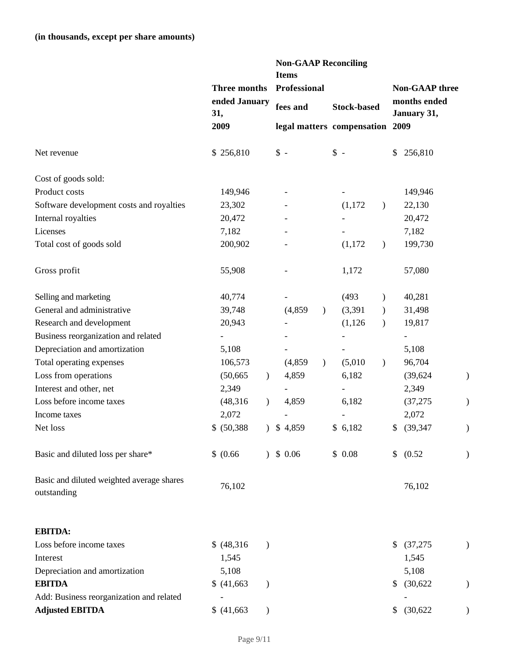|                                                          | Three months                | <b>Non-GAAP Reconciling</b><br><b>Items</b><br>Professional |                                 | <b>Non-GAAP</b> three  |
|----------------------------------------------------------|-----------------------------|-------------------------------------------------------------|---------------------------------|------------------------|
|                                                          | ended January               |                                                             |                                 | months ended           |
|                                                          | 31,                         | fees and                                                    | <b>Stock-based</b>              | January 31,            |
|                                                          | 2009                        |                                                             | legal matters compensation 2009 |                        |
| Net revenue                                              | \$256,810                   | $\mathsf{\$}$ -                                             | $\mathbb{S}$ -                  | 256,810<br>\$          |
| Cost of goods sold:                                      |                             |                                                             |                                 |                        |
| Product costs                                            | 149,946                     |                                                             |                                 | 149,946                |
| Software development costs and royalties                 | 23,302                      |                                                             | (1,172)<br>$\mathcal{E}$        | 22,130                 |
| Internal royalties                                       | 20,472                      |                                                             |                                 | 20,472                 |
| Licenses                                                 | 7,182                       |                                                             |                                 | 7,182                  |
| Total cost of goods sold                                 | 200,902                     |                                                             | (1,172)<br>$\mathcal{E}$        | 199,730                |
| Gross profit                                             | 55,908                      |                                                             | 1,172                           | 57,080                 |
| Selling and marketing                                    | 40,774                      |                                                             | (493)<br>$\mathcal{L}$          | 40,281                 |
| General and administrative                               | 39,748                      | (4, 859)<br>$\mathcal{L}$                                   | (3, 391)<br>$\mathcal{C}$       | 31,498                 |
| Research and development                                 | 20,943                      |                                                             | (1, 126)<br>$\mathcal{L}$       | 19,817                 |
| Business reorganization and related                      |                             |                                                             |                                 |                        |
| Depreciation and amortization                            | 5,108                       |                                                             |                                 | 5,108                  |
| Total operating expenses                                 | 106,573                     | (4,859)<br>$\mathcal{L}$                                    | (5,010)<br>$\mathcal{E}$        | 96,704                 |
| Loss from operations                                     | (50, 665)<br>$\mathcal{E}$  | 4,859                                                       | 6,182                           | (39, 624)<br>)         |
| Interest and other, net                                  | 2,349                       |                                                             |                                 | 2,349                  |
| Loss before income taxes                                 | (48, 316)<br>$\lambda$      | 4,859                                                       | 6,182                           | (37, 275)<br>)         |
| Income taxes                                             | 2,072                       |                                                             |                                 | 2,072                  |
| Net loss                                                 | \$ (50, 388)                | \$4,859                                                     | \$6,182                         | (39, 347)<br>\$        |
| Basic and diluted loss per share*                        | \$ (0.66)                   | \$0.06                                                      | \$0.08                          | (0.52)<br>$\mathbb{S}$ |
| Basic and diluted weighted average shares<br>outstanding | 76,102                      |                                                             |                                 | 76,102                 |
| <b>EBITDA:</b>                                           |                             |                                                             |                                 |                        |
| Loss before income taxes                                 | \$ (48,316)                 |                                                             |                                 | (37, 275)<br>\$        |
| Interest                                                 | 1,545                       |                                                             |                                 | 1,545                  |
| Depreciation and amortization                            | 5,108                       |                                                             |                                 | 5,108                  |
| <b>EBITDA</b>                                            | \$(41,663)<br>$\mathcal{E}$ |                                                             |                                 | (30,622)<br>\$         |
| Add: Business reorganization and related                 |                             |                                                             |                                 |                        |
| <b>Adjusted EBITDA</b>                                   | \$(41,663)<br>$\mathcal{Y}$ |                                                             |                                 | \$ (30,622)<br>)       |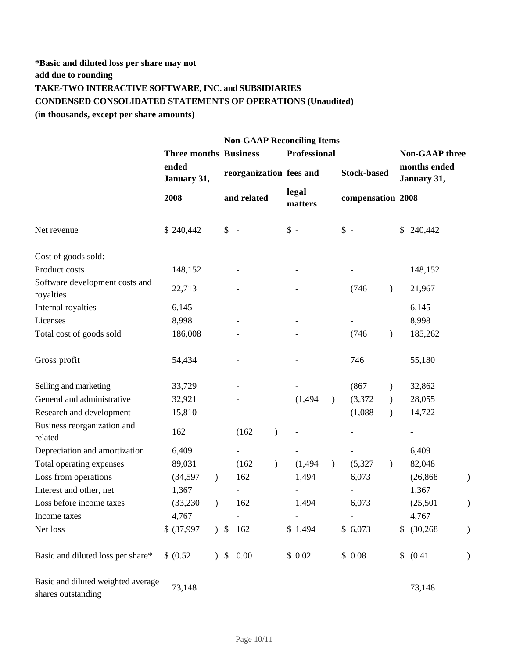# **\*Basic and diluted loss per share may not add due to rounding TAKE-TWO INTERACTIVE SOFTWARE, INC. and SUBSIDIARIES CONDENSED CONSOLIDATED STATEMENTS OF OPERATIONS (Unaudited) (in thousands, except per share amounts)**

|                                                          |                                                      | <b>Non-GAAP Reconciling Items</b>      |                        |  |                  |               |                                         |               |                             |              |   |  |  |
|----------------------------------------------------------|------------------------------------------------------|----------------------------------------|------------------------|--|------------------|---------------|-----------------------------------------|---------------|-----------------------------|--------------|---|--|--|
|                                                          | <b>Three months Business</b><br>ended<br>January 31, | Professional                           |                        |  |                  |               |                                         |               | <b>Non-GAAP</b> three       |              |   |  |  |
|                                                          |                                                      | reorganization fees and<br>and related |                        |  | legal<br>matters |               | <b>Stock-based</b><br>compensation 2008 |               | months ended<br>January 31, |              |   |  |  |
|                                                          | 2008                                                 |                                        |                        |  |                  |               |                                         |               |                             |              |   |  |  |
| Net revenue                                              | \$240,442                                            | $\mathsf{\$}$                          | $\sim$                 |  | $\uparrow$ -     |               | $\frac{1}{2}$ -                         |               | \$                          | 240,442      |   |  |  |
| Cost of goods sold:                                      |                                                      |                                        |                        |  |                  |               |                                         |               |                             |              |   |  |  |
| Product costs                                            | 148,152                                              |                                        |                        |  |                  |               |                                         |               |                             | 148,152      |   |  |  |
| Software development costs and<br>royalties              | 22,713                                               |                                        |                        |  |                  |               | (746)                                   | $\mathcal{L}$ |                             | 21,967       |   |  |  |
| Internal royalties                                       | 6,145                                                |                                        |                        |  |                  |               |                                         |               |                             | 6,145        |   |  |  |
| Licenses                                                 | 8,998                                                |                                        |                        |  |                  |               |                                         |               |                             | 8,998        |   |  |  |
| Total cost of goods sold                                 | 186,008                                              |                                        |                        |  |                  |               | (746)                                   | $\mathcal{E}$ |                             | 185,262      |   |  |  |
| Gross profit                                             | 54,434                                               |                                        |                        |  |                  |               | 746                                     |               |                             | 55,180       |   |  |  |
| Selling and marketing                                    | 33,729                                               |                                        |                        |  |                  |               | (867)                                   | $\mathcal{E}$ |                             | 32,862       |   |  |  |
| General and administrative                               | 32,921                                               |                                        |                        |  | (1, 494)         | $\mathcal{E}$ | (3,372)                                 | $\lambda$     |                             | 28,055       |   |  |  |
| Research and development                                 | 15,810                                               |                                        |                        |  |                  |               | (1,088)                                 | $\lambda$     |                             | 14,722       |   |  |  |
| Business reorganization and<br>related                   | 162                                                  |                                        | (162)<br>$\mathcal{E}$ |  |                  |               |                                         |               |                             |              |   |  |  |
| Depreciation and amortization                            | 6,409                                                |                                        |                        |  |                  |               |                                         |               |                             | 6,409        |   |  |  |
| Total operating expenses                                 | 89,031                                               |                                        | (162)<br>$\mathcal{L}$ |  | (1, 494)         | $\mathcal{L}$ | (5, 327)                                | $\mathcal{L}$ |                             | 82,048       |   |  |  |
| Loss from operations                                     | (34, 597)<br>$\mathcal{L}$                           |                                        | 162                    |  | 1,494            |               | 6,073                                   |               |                             | (26, 868)    |   |  |  |
| Interest and other, net                                  | 1,367                                                |                                        |                        |  |                  |               |                                         |               |                             | 1,367        |   |  |  |
| Loss before income taxes                                 | (33,230)<br>$\lambda$                                |                                        | 162                    |  | 1,494            |               | 6,073                                   |               |                             | (25, 501)    | ) |  |  |
| Income taxes                                             | 4,767                                                |                                        |                        |  |                  |               |                                         |               |                             | 4,767        |   |  |  |
| Net loss                                                 | $$$ (37,997)                                         | $)$ \$                                 | 162                    |  | \$1,494          |               | \$6,073                                 |               |                             | \$ (30, 268) | ) |  |  |
| Basic and diluted loss per share*                        | \$ (0.52)                                            |                                        | $)$ \$ 0.00            |  | \$0.02           |               | \$0.08                                  |               |                             | \$ (0.41)    |   |  |  |
| Basic and diluted weighted average<br>shares outstanding | 73,148                                               |                                        |                        |  |                  |               |                                         |               |                             | 73,148       |   |  |  |